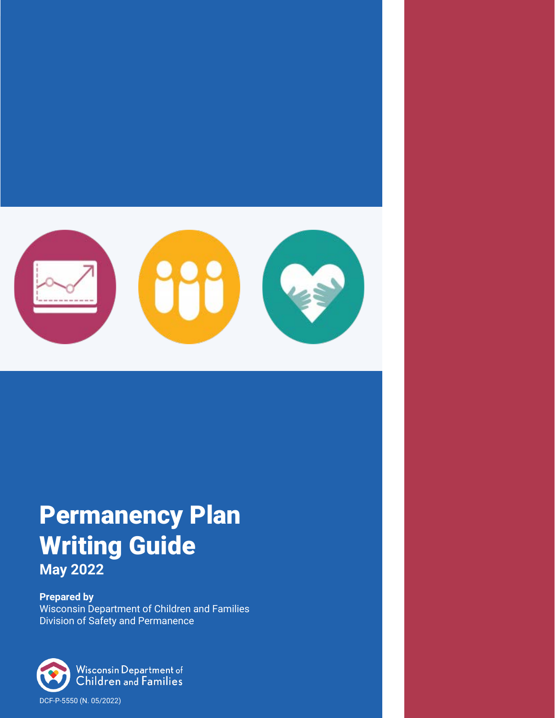

# Permanency Plan Writing Guide **May 2022**

**Prepared by** Wisconsin Department of Children and Families Division of Safety and Permanence

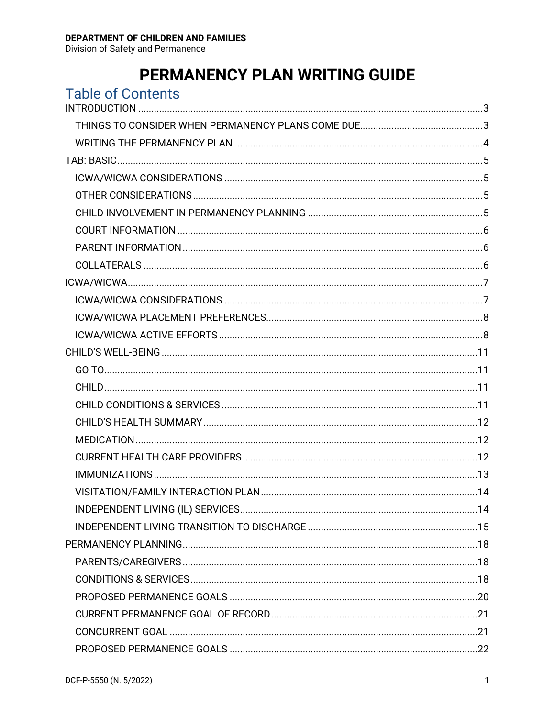## PERMANENCY PLAN WRITING GUIDE

| <b>Table of Contents</b> |  |
|--------------------------|--|
|                          |  |
|                          |  |
|                          |  |
|                          |  |
|                          |  |
|                          |  |
|                          |  |
|                          |  |
|                          |  |
|                          |  |
|                          |  |
|                          |  |
|                          |  |
|                          |  |
|                          |  |
|                          |  |
|                          |  |
|                          |  |
|                          |  |
|                          |  |
|                          |  |
|                          |  |
|                          |  |
|                          |  |
|                          |  |
|                          |  |
|                          |  |
|                          |  |
|                          |  |
|                          |  |
|                          |  |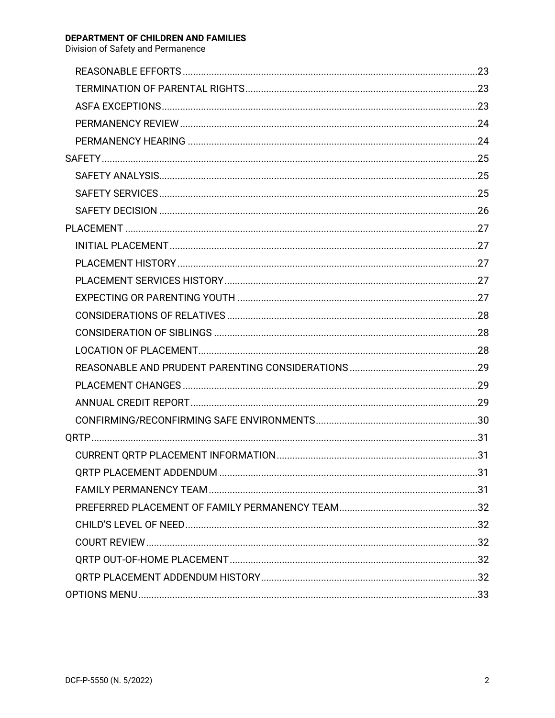#### DEPARTMENT OF CHILDREN AND FAMILIES Division of Safety and Permanence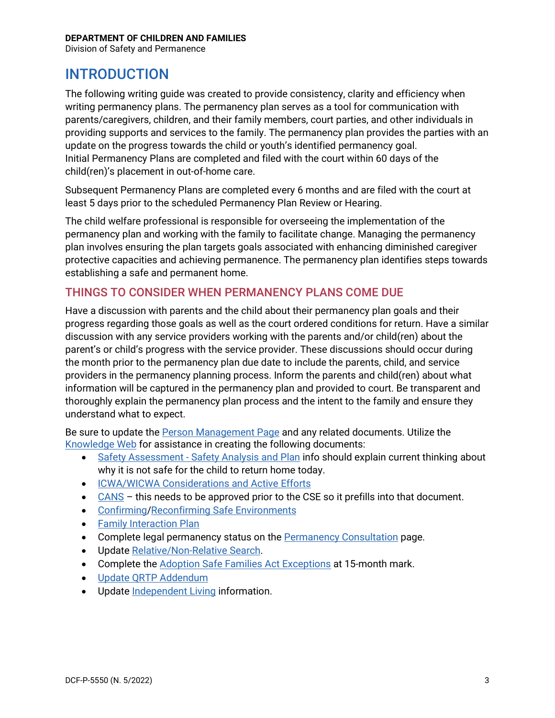Division of Safety and Permanence

## <span id="page-3-0"></span>INTRODUCTION

The following writing guide was created to provide consistency, clarity and efficiency when writing permanency plans. The permanency plan serves as a tool for communication with parents/caregivers, children, and their family members, court parties, and other individuals in providing supports and services to the family. The permanency plan provides the parties with an update on the progress towards the child or youth's identified permanency goal. Initial Permanency Plans are completed and filed with the court within 60 days of the child(ren)'s placement in out-of-home care.

Subsequent Permanency Plans are completed every 6 months and are filed with the court at least 5 days prior to the scheduled Permanency Plan Review or Hearing.

The child welfare professional is responsible for overseeing the implementation of the permanency plan and working with the family to facilitate change. Managing the permanency plan involves ensuring the plan targets goals associated with enhancing diminished caregiver protective capacities and achieving permanence. The permanency plan identifies steps towards establishing a safe and permanent home.

### <span id="page-3-1"></span>THINGS TO CONSIDER WHEN PERMANENCY PLANS COME DUE

Have a discussion with parents and the child about their permanency plan goals and their progress regarding those goals as well as the court ordered conditions for return. Have a similar discussion with any service providers working with the parents and/or child(ren) about the parent's or child's progress with the service provider. These discussions should occur during the month prior to the permanency plan due date to include the parents, child, and service providers in the permanency planning process. Inform the parents and child(ren) about what information will be captured in the permanency plan and provided to court. Be transparent and thoroughly explain the permanency plan process and the intent to the family and ensure they understand what to expect.

Be sure to update the [Person Management Page](https://dcf.wisconsin.gov/files/ewisacwis-knowledge-web/quick-reference-guides/person-management/person-management.pdf) and any related documents. Utilize the [Knowledge Web](https://dcf.wisconsin.gov/knowledgeweb/training/ewisacwis-user-guides/case-work) for assistance in creating the following documents:

- Safety Assessment [Safety Analysis and Plan](https://dcf.wisconsin.gov/files/ewisacwis-knowledge-web/quick-reference-guides/safety/safety-assessment-analysis-and-plan.pdf) info should explain current thinking about why it is not safe for the child to return home today.
- [ICWA/WICWA Considerations and Active Efforts](https://dcf.wisconsin.gov/files/ewisacwis-knowledge-web/quick-reference-guides/icwa/icwa.pdf)
- [CANS](https://dcf.wisconsin.gov/files/ewisacwis-knowledge-web/quick-reference-guides/planning/cans.pdf) this needs to be approved prior to the CSE so it prefills into that document.
- [Confirming/](https://dcf.wisconsin.gov/files/ewisacwis-knowledge-web/quick-reference-guides/safety/confirming-safe-environments.pdf)[Reconfirming Safe Environments](https://dcf.wisconsin.gov/files/ewisacwis-knowledge-web/quick-reference-guides/safety/reconfirming-safe-environments.pdf)
- [Family Interaction Plan](https://dcf.wisconsin.gov/files/ewisacwis-knowledge-web/quick-reference-guides/planning/family-interaction-plan.pdf)
- Complete legal permanency status on the **Permanency Consultation** page.
- Updat[e Relative/Non-Relative Search.](https://dcf.wisconsin.gov/files/ewisacwis-knowledge-web/quick-reference-guides/planning/relative-search.pdf)
- Complete the [Adoption Safe Families Act Exceptions](https://dcf.wisconsin.gov/files/ewisacwis-knowledge-web/quick-reference-guides/case-permanency/documenting-permanency-plan-asfa-exceptions.pdf) at 15-month mark.
- [Update QRTP Addendum](https://dcf.wisconsin.gov/files/ewisacwis-knowledge-web/quick-reference-guides/case-permanency/qrtp-addendum.pdf)
- Updat[e Independent Living](https://dcf.wisconsin.gov/files/ewisacwis-knowledge-web/quick-reference-guides/planning/independent-living.pdf) information.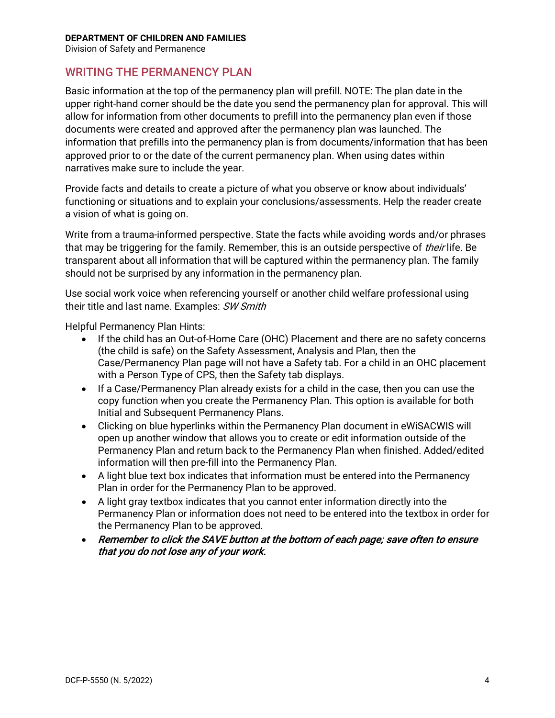Division of Safety and Permanence

### <span id="page-4-0"></span>WRITING THE PERMANENCY PLAN

Basic information at the top of the permanency plan will prefill. NOTE: The plan date in the upper right-hand corner should be the date you send the permanency plan for approval. This will allow for information from other documents to prefill into the permanency plan even if those documents were created and approved after the permanency plan was launched. The information that prefills into the permanency plan is from documents/information that has been approved prior to or the date of the current permanency plan. When using dates within narratives make sure to include the year.

Provide facts and details to create a picture of what you observe or know about individuals' functioning or situations and to explain your conclusions/assessments. Help the reader create a vision of what is going on.

Write from a trauma-informed perspective. State the facts while avoiding words and/or phrases that may be triggering for the family. Remember, this is an outside perspective of *their* life. Be transparent about all information that will be captured within the permanency plan. The family should not be surprised by any information in the permanency plan.

Use social work voice when referencing yourself or another child welfare professional using their title and last name. Examples: SW Smith

Helpful Permanency Plan Hints:

- If the child has an Out-of-Home Care (OHC) Placement and there are no safety concerns (the child is safe) on the Safety Assessment, Analysis and Plan, then the Case/Permanency Plan page will not have a Safety tab. For a child in an OHC placement with a Person Type of CPS, then the Safety tab displays.
- If a Case/Permanency Plan already exists for a child in the case, then you can use the copy function when you create the Permanency Plan. This option is available for both Initial and Subsequent Permanency Plans.
- Clicking on blue hyperlinks within the Permanency Plan document in eWiSACWIS will open up another window that allows you to create or edit information outside of the Permanency Plan and return back to the Permanency Plan when finished. Added/edited information will then pre-fill into the Permanency Plan.
- A light blue text box indicates that information must be entered into the Permanency Plan in order for the Permanency Plan to be approved.
- A light gray textbox indicates that you cannot enter information directly into the Permanency Plan or information does not need to be entered into the textbox in order for the Permanency Plan to be approved.
- Remember to click the SAVE button at the bottom of each page; save often to ensure that you do not lose any of your work.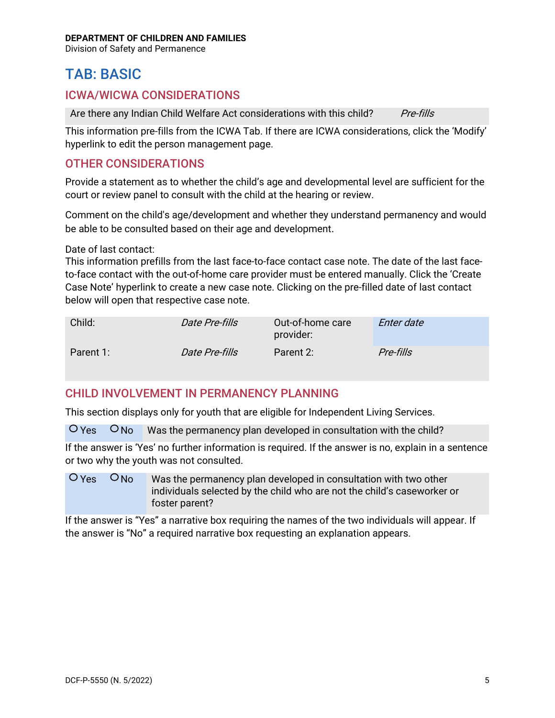Division of Safety and Permanence

## <span id="page-5-0"></span>TAB: BASIC

### <span id="page-5-1"></span>ICWA/WICWA CONSIDERATIONS

Are there any Indian Child Welfare Act considerations with this child? Pre-fills

This information pre-fills from the ICWA Tab. If there are ICWA considerations, click the 'Modify' hyperlink to edit the person management page.

### <span id="page-5-2"></span>OTHER CONSIDERATIONS

Provide a statement as to whether the child's age and developmental level are sufficient for the court or review panel to consult with the child at the hearing or review.

Comment on the child's age/development and whether they understand permanency and would be able to be consulted based on their age and development.

#### Date of last contact:

This information prefills from the last face-to-face contact case note. The date of the last faceto-face contact with the out-of-home care provider must be entered manually. Click the 'Create Case Note' hyperlink to create a new case note. Clicking on the pre-filled date of last contact below will open that respective case note.

| Child:    | <i>Date Pre-fills</i> | Out-of-home care<br>provider: | <i>Enter date</i> |
|-----------|-----------------------|-------------------------------|-------------------|
| Parent 1: | <i>Date Pre-fills</i> | Parent 2:                     | Pre-fills         |

### <span id="page-5-3"></span>CHILD INVOLVEMENT IN PERMANENCY PLANNING

This section displays only for youth that are eligible for Independent Living Services.

 $O$  Yes  $O$  No Was the permanency plan developed in consultation with the child?

If the answer is 'Yes' no further information is required. If the answer is no, explain in a sentence or two why the youth was not consulted.

 $O$  Yes  $O$  No Was the permanency plan developed in consultation with two other individuals selected by the child who are not the child's caseworker or foster parent?

If the answer is "Yes" a narrative box requiring the names of the two individuals will appear. If the answer is "No" a required narrative box requesting an explanation appears.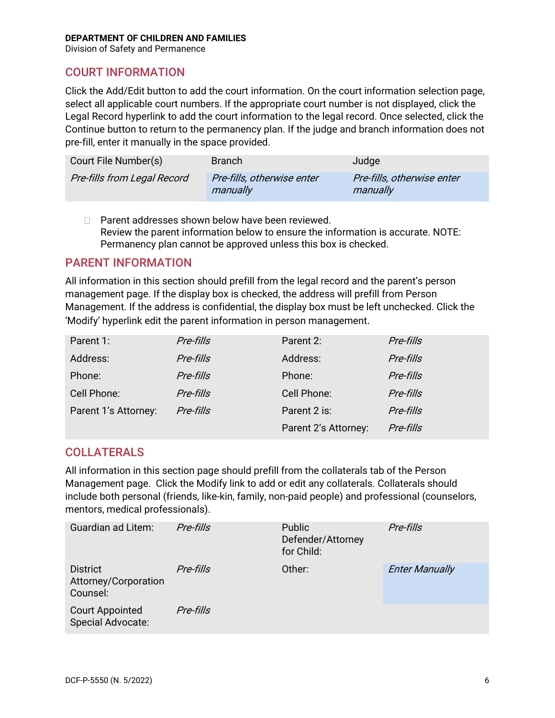Division of Safety and Permanence

### <span id="page-6-0"></span>COURT INFORMATION

Click the Add/Edit button to add the court information. On the court information selection page, select all applicable court numbers. If the appropriate court number is not displayed, click the Legal Record hyperlink to add the court information to the legal record. Once selected, click the Continue button to return to the permanency plan. If the judge and branch information does not pre-fill, enter it manually in the space provided.

| Court File Number(s)               | <b>Branch</b>                          | Judge                                  |
|------------------------------------|----------------------------------------|----------------------------------------|
| <b>Pre-fills from Legal Record</b> | Pre-fills, otherwise enter<br>manually | Pre-fills, otherwise enter<br>manually |

□ Parent addresses shown below have been reviewed. Review the parent information below to ensure the information is accurate. NOTE: Permanency plan cannot be approved unless this box is checked.

### <span id="page-6-1"></span>PARENT INFORMATION

All information in this section should prefill from the legal record and the parent's person management page. If the display box is checked, the address will prefill from Person Management. If the address is confidential, the display box must be left unchecked. Click the 'Modify' hyperlink edit the parent information in person management.

| Parent 1:            | Pre-fills | Parent 2:            | Pre-fills |
|----------------------|-----------|----------------------|-----------|
| Address:             | Pre-fills | Address:             | Pre-fills |
| Phone:               | Pre-fills | Phone:               | Pre-fills |
| Cell Phone:          | Pre-fills | Cell Phone:          | Pre-fills |
| Parent 1's Attorney: | Pre-fills | Parent 2 is:         | Pre-fills |
|                      |           | Parent 2's Attorney: | Pre-fills |

### <span id="page-6-2"></span>COLLATERALS

All information in this section page should prefill from the collaterals tab of the Person Management page. Click the Modify link to add or edit any collaterals. Collaterals should include both personal (friends, like-kin, family, non-paid people) and professional (counselors, mentors, medical professionals).

| <b>Guardian ad Litem:</b>                           | Pre-fills | Public<br>Defender/Attorney<br>for Child: | Pre-fills             |
|-----------------------------------------------------|-----------|-------------------------------------------|-----------------------|
| <b>District</b><br>Attorney/Corporation<br>Counsel: | Pre-fills | Other:                                    | <b>Enter Manually</b> |
| <b>Court Appointed</b><br>Special Advocate:         | Pre-fills |                                           |                       |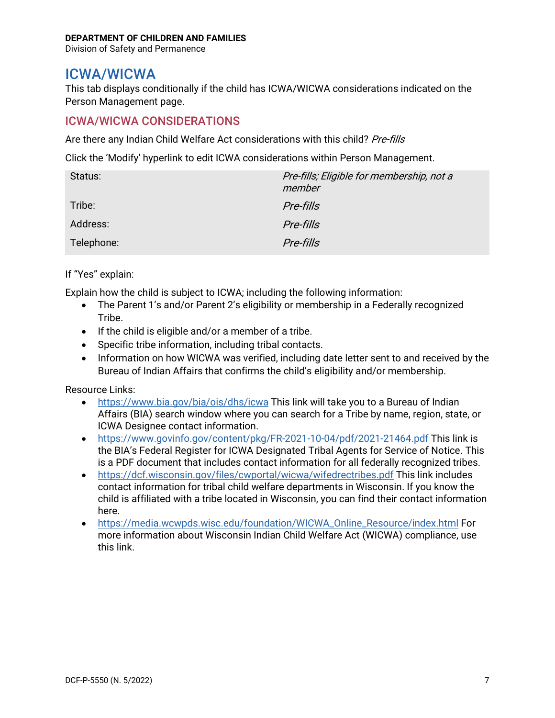Division of Safety and Permanence

## <span id="page-7-0"></span>ICWA/WICWA

This tab displays conditionally if the child has ICWA/WICWA considerations indicated on the Person Management page.

### <span id="page-7-1"></span>ICWA/WICWA CONSIDERATIONS

Are there any Indian Child Welfare Act considerations with this child? Pre-fills

Click the 'Modify' hyperlink to edit ICWA considerations within Person Management.

| Status:    | Pre-fills; Eligible for membership, not a<br>member |
|------------|-----------------------------------------------------|
| Tribe:     | Pre-fills                                           |
| Address:   | Pre-fills                                           |
| Telephone: | Pre-fills                                           |

If "Yes" explain:

Explain how the child is subject to ICWA; including the following information:

- The Parent 1's and/or Parent 2's eligibility or membership in a Federally recognized Tribe.
- If the child is eligible and/or a member of a tribe.
- Specific tribe information, including tribal contacts.
- Information on how WICWA was verified, including date letter sent to and received by the Bureau of Indian Affairs that confirms the child's eligibility and/or membership.

Resource Links:

- <https://www.bia.gov/bia/ois/dhs/icwa> This link will take you to a Bureau of Indian Affairs (BIA) search window where you can search for a Tribe by name, region, state, or ICWA Designee contact information.
- <https://www.govinfo.gov/content/pkg/FR-2021-10-04/pdf/2021-21464.pdf> This link is the BIA's Federal Register for ICWA Designated Tribal Agents for Service of Notice. This is a PDF document that includes contact information for all federally recognized tribes.
- <https://dcf.wisconsin.gov/files/cwportal/wicwa/wifedrectribes.pdf> This link includes contact information for tribal child welfare departments in Wisconsin. If you know the child is affiliated with a tribe located in Wisconsin, you can find their contact information here.
- [https://media.wcwpds.wisc.edu/foundation/WICWA\\_Online\\_Resource/index.html](https://media.wcwpds.wisc.edu/foundation/WICWA_Online_Resource/index.html) For more information about Wisconsin Indian Child Welfare Act (WICWA) compliance, use this link.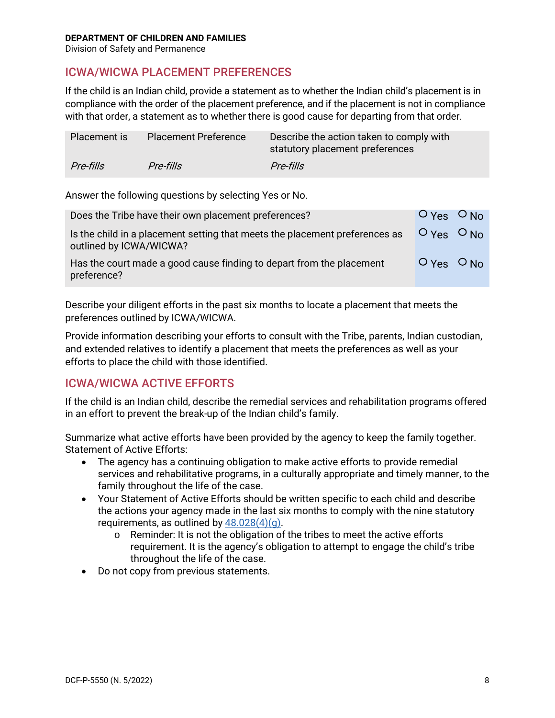Division of Safety and Permanence

### <span id="page-8-0"></span>ICWA/WICWA PLACEMENT PREFERENCES

If the child is an Indian child, provide a statement as to whether the Indian child's placement is in compliance with the order of the placement preference, and if the placement is not in compliance with that order, a statement as to whether there is good cause for departing from that order.

| Placement is | <b>Placement Preference</b> | Describe the action taken to comply with<br>statutory placement preferences |
|--------------|-----------------------------|-----------------------------------------------------------------------------|
| Pre-fills    | Pre-fills                   | Pre-fills                                                                   |

Answer the following questions by selecting Yes or No.

| Does the Tribe have their own placement preferences?                                                   | $O_{Yes}$ $O_{No}$               |  |
|--------------------------------------------------------------------------------------------------------|----------------------------------|--|
| Is the child in a placement setting that meets the placement preferences as<br>outlined by ICWA/WICWA? | $OY_{\text{es}}$ $O_{\text{No}}$ |  |
| Has the court made a good cause finding to depart from the placement<br>preference?                    | $OY_{ES}$ $ON_0$                 |  |

Describe your diligent efforts in the past six months to locate a placement that meets the preferences outlined by ICWA/WICWA.

Provide information describing your efforts to consult with the Tribe, parents, Indian custodian, and extended relatives to identify a placement that meets the preferences as well as your efforts to place the child with those identified.

### <span id="page-8-1"></span>ICWA/WICWA ACTIVE EFFORTS

If the child is an Indian child, describe the remedial services and rehabilitation programs offered in an effort to prevent the break-up of the Indian child's family.

Summarize what active efforts have been provided by the agency to keep the family together. Statement of Active Efforts:

- The agency has a continuing obligation to make active efforts to provide remedial services and rehabilitative programs, in a culturally appropriate and timely manner, to the family throughout the life of the case.
- Your Statement of Active Efforts should be written specific to each child and describe the actions your agency made in the last six months to comply with the nine statutory requirements, as outlined by  $48.028(4)(q)$ .
	- o Reminder: It is not the obligation of the tribes to meet the active efforts requirement. It is the agency's obligation to attempt to engage the child's tribe throughout the life of the case.
- Do not copy from previous statements.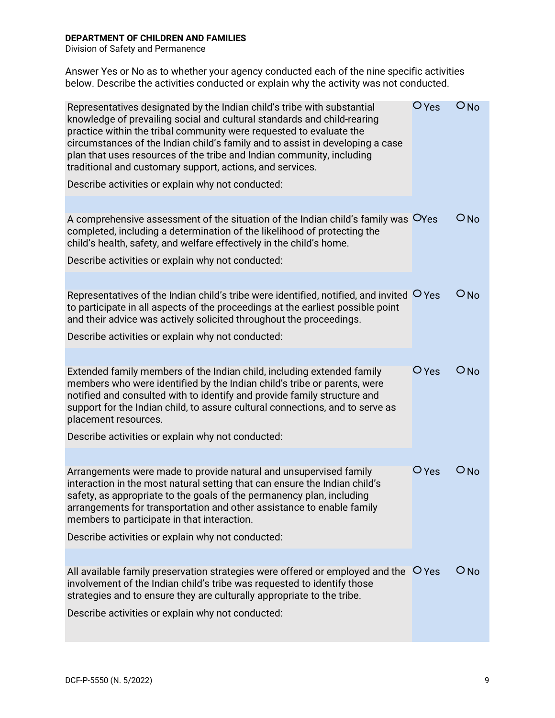Division of Safety and Permanence

Answer Yes or No as to whether your agency conducted each of the nine specific activities below. Describe the activities conducted or explain why the activity was not conducted.

| Representatives designated by the Indian child's tribe with substantial<br>knowledge of prevailing social and cultural standards and child-rearing<br>practice within the tribal community were requested to evaluate the<br>circumstances of the Indian child's family and to assist in developing a case<br>plan that uses resources of the tribe and Indian community, including<br>traditional and customary support, actions, and services. | $\bigcirc$ Yes | $O$ No          |
|--------------------------------------------------------------------------------------------------------------------------------------------------------------------------------------------------------------------------------------------------------------------------------------------------------------------------------------------------------------------------------------------------------------------------------------------------|----------------|-----------------|
| Describe activities or explain why not conducted:                                                                                                                                                                                                                                                                                                                                                                                                |                |                 |
| A comprehensive assessment of the situation of the Indian child's family was OYes<br>completed, including a determination of the likelihood of protecting the<br>child's health, safety, and welfare effectively in the child's home.                                                                                                                                                                                                            |                | $O$ No          |
| Describe activities or explain why not conducted:                                                                                                                                                                                                                                                                                                                                                                                                |                |                 |
| Representatives of the Indian child's tribe were identified, notified, and invited $\overline{O}$ Yes<br>to participate in all aspects of the proceedings at the earliest possible point<br>and their advice was actively solicited throughout the proceedings.                                                                                                                                                                                  |                | $O$ No          |
| Describe activities or explain why not conducted:                                                                                                                                                                                                                                                                                                                                                                                                |                |                 |
| Extended family members of the Indian child, including extended family<br>members who were identified by the Indian child's tribe or parents, were<br>notified and consulted with to identify and provide family structure and<br>support for the Indian child, to assure cultural connections, and to serve as<br>placement resources.<br>Describe activities or explain why not conducted:                                                     | $O$ Yes        | ONO             |
|                                                                                                                                                                                                                                                                                                                                                                                                                                                  |                |                 |
| Arrangements were made to provide natural and unsupervised family<br>interaction in the most natural setting that can ensure the Indian child's<br>safety, as appropriate to the goals of the permanency plan, including<br>arrangements for transportation and other assistance to enable family<br>members to participate in that interaction.                                                                                                 | $O$ Yes        | $O_{\text{No}}$ |
| Describe activities or explain why not conducted:                                                                                                                                                                                                                                                                                                                                                                                                |                |                 |
| All available family preservation strategies were offered or employed and the $\overline{O}$ Yes<br>involvement of the Indian child's tribe was requested to identify those<br>strategies and to ensure they are culturally appropriate to the tribe.<br>Describe activities or explain why not conducted:                                                                                                                                       |                | $O$ No          |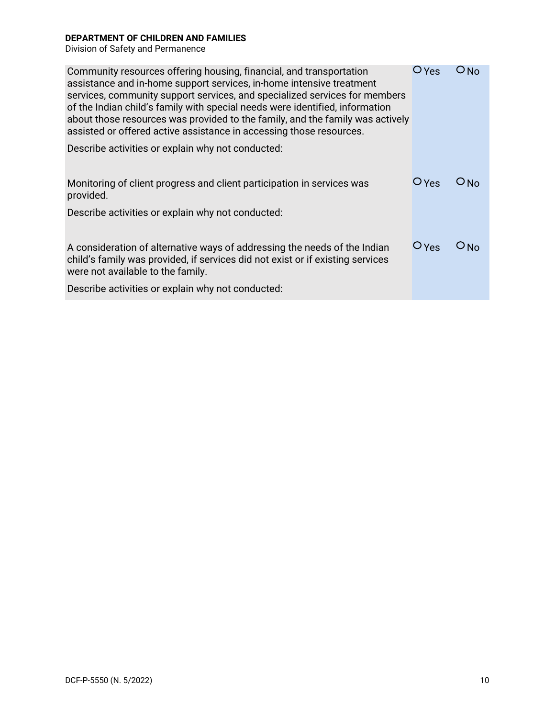Division of Safety and Permanence

| Community resources offering housing, financial, and transportation<br>assistance and in-home support services, in-home intensive treatment<br>services, community support services, and specialized services for members<br>of the Indian child's family with special needs were identified, information<br>about those resources was provided to the family, and the family was actively<br>assisted or offered active assistance in accessing those resources. | $O$ Yes                     | O No      |
|-------------------------------------------------------------------------------------------------------------------------------------------------------------------------------------------------------------------------------------------------------------------------------------------------------------------------------------------------------------------------------------------------------------------------------------------------------------------|-----------------------------|-----------|
| Describe activities or explain why not conducted:                                                                                                                                                                                                                                                                                                                                                                                                                 |                             |           |
|                                                                                                                                                                                                                                                                                                                                                                                                                                                                   |                             |           |
| Monitoring of client progress and client participation in services was<br>provided.                                                                                                                                                                                                                                                                                                                                                                               | $O$ Yes                     | $O$ No    |
| Describe activities or explain why not conducted:                                                                                                                                                                                                                                                                                                                                                                                                                 |                             |           |
|                                                                                                                                                                                                                                                                                                                                                                                                                                                                   |                             |           |
| A consideration of alternative ways of addressing the needs of the Indian<br>child's family was provided, if services did not exist or if existing services<br>were not available to the family.                                                                                                                                                                                                                                                                  | $\overline{\mathsf{V}}$ Yes | $\cup$ No |
| Describe activities or explain why not conducted:                                                                                                                                                                                                                                                                                                                                                                                                                 |                             |           |
|                                                                                                                                                                                                                                                                                                                                                                                                                                                                   |                             |           |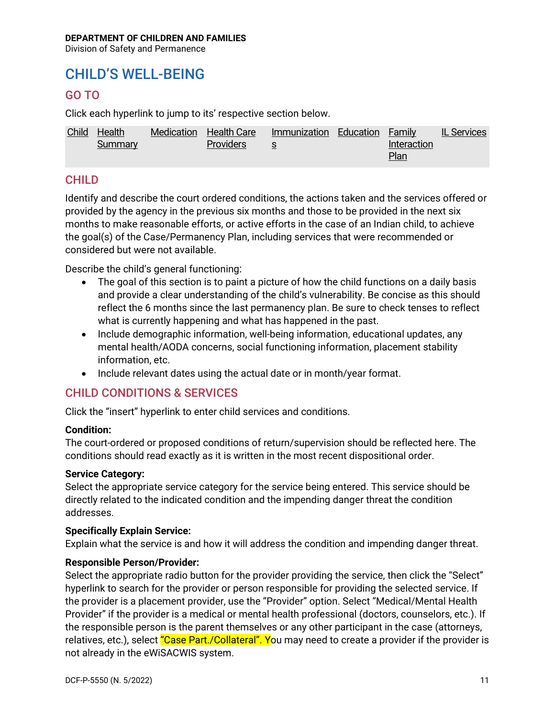Division of Safety and Permanence

## <span id="page-11-0"></span>CHILD'S WELL-BEING

### <span id="page-11-1"></span>GO TO

Click each hyperlink to jump to its' respective section below.

| Child | Health  | Medication Health Care | Immunization Education Family |             | <b>IL Services</b> |
|-------|---------|------------------------|-------------------------------|-------------|--------------------|
|       | Summary | <b>Providers</b>       |                               | Interaction |                    |
|       |         |                        |                               | Plan        |                    |

### <span id="page-11-2"></span>CHILD

Identify and describe the court ordered conditions, the actions taken and the services offered or provided by the agency in the previous six months and those to be provided in the next six months to make reasonable efforts, or active efforts in the case of an Indian child, to achieve the goal(s) of the Case/Permanency Plan, including services that were recommended or considered but were not available.

Describe the child's general functioning:

- The goal of this section is to paint a picture of how the child functions on a daily basis and provide a clear understanding of the child's vulnerability. Be concise as this should reflect the 6 months since the last permanency plan. Be sure to check tenses to reflect what is currently happening and what has happened in the past.
- Include demographic information, well-being information, educational updates, any mental health/AODA concerns, social functioning information, placement stability information, etc.
- Include relevant dates using the actual date or in month/year format.

### <span id="page-11-3"></span>CHILD CONDITIONS & SERVICES

Click the "insert" hyperlink to enter child services and conditions.

### **Condition:**

The court-ordered or proposed conditions of return/supervision should be reflected here. The conditions should read exactly as it is written in the most recent dispositional order.

#### **Service Category:**

Select the appropriate service category for the service being entered. This service should be directly related to the indicated condition and the impending danger threat the condition addresses.

#### **Specifically Explain Service:**

Explain what the service is and how it will address the condition and impending danger threat.

#### **Responsible Person/Provider:**

Select the appropriate radio button for the provider providing the service, then click the "Select" hyperlink to search for the provider or person responsible for providing the selected service. If the provider is a placement provider, use the "Provider" option. Select "Medical/Mental Health Provider" if the provider is a medical or mental health professional (doctors, counselors, etc.). If the responsible person is the parent themselves or any other participant in the case (attorneys, relatives, etc.), select "Case Part./Collateral". You may need to create a provider if the provider is not already in the eWiSACWIS system.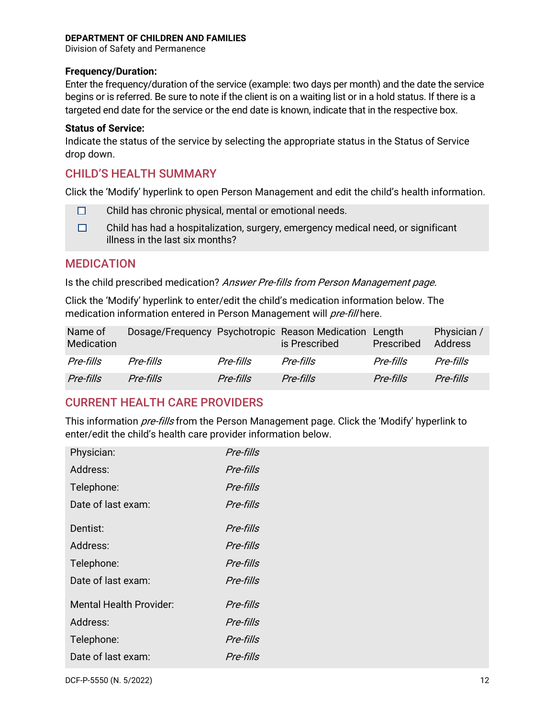Division of Safety and Permanence

#### **Frequency/Duration:**

Enter the frequency/duration of the service (example: two days per month) and the date the service begins or is referred. Be sure to note if the client is on a waiting list or in a hold status. If there is a targeted end date for the service or the end date is known, indicate that in the respective box.

#### **Status of Service:**

Indicate the status of the service by selecting the appropriate status in the Status of Service drop down.

### <span id="page-12-0"></span>CHILD'S HEALTH SUMMARY

Click the 'Modify' hyperlink to open Person Management and edit the child's health information.

- $\Box$ Child has chronic physical, mental or emotional needs.
- $\Box$ Child has had a hospitalization, surgery, emergency medical need, or significant illness in the last six months?

### <span id="page-12-1"></span>MEDICATION

Is the child prescribed medication? Answer Pre-fills from Person Management page.

Click the 'Modify' hyperlink to enter/edit the child's medication information below. The medication information entered in Person Management will pre-fill here.

| Name of<br>Medication |           |           | Dosage/Frequency Psychotropic Reason Medication Length<br>is Prescribed | Prescribed | Physician /<br><b>Address</b> |
|-----------------------|-----------|-----------|-------------------------------------------------------------------------|------------|-------------------------------|
| Pre-fills             | Pre-fills | Pre-fills | Pre-fills                                                               | Pre-fills  | Pre-fills                     |
| Pre-fills             | Pre-fills | Pre-fills | Pre-fills                                                               | Pre-fills  | Pre-fills                     |

### <span id="page-12-2"></span>CURRENT HEALTH CARE PROVIDERS

This information *pre-fills* from the Person Management page. Click the 'Modify' hyperlink to enter/edit the child's health care provider information below.

| Physician:                     | Pre-fills |
|--------------------------------|-----------|
| Address:                       | Pre-fills |
| Telephone:                     | Pre-fills |
| Date of last exam:             | Pre-fills |
| Dentist:                       | Pre-fills |
| Address:                       | Pre-fills |
| Telephone:                     | Pre-fills |
| Date of last exam:             | Pre-fills |
| <b>Mental Health Provider:</b> | Pre-fills |
| Address:                       | Pre-fills |
| Telephone:                     | Pre-fills |
| Date of last exam:             | Pre-fills |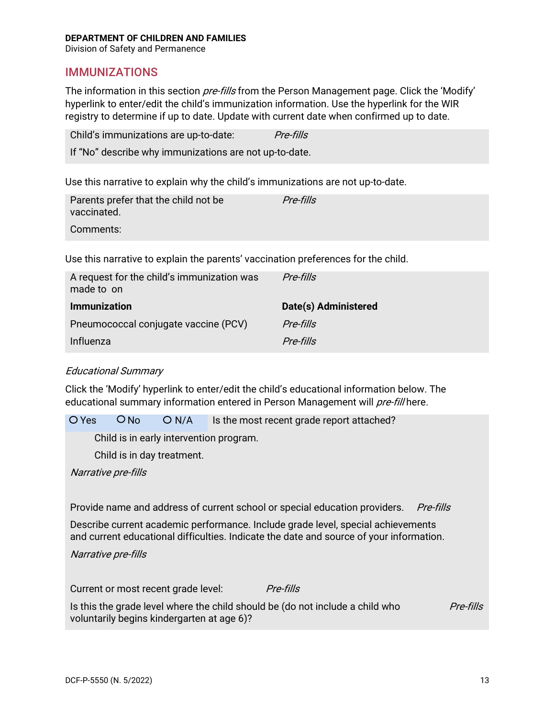Division of Safety and Permanence

### <span id="page-13-0"></span>IMMUNIZATIONS

The information in this section *pre-fills* from the Person Management page. Click the 'Modify' hyperlink to enter/edit the child's immunization information. Use the hyperlink for the WIR registry to determine if up to date. Update with current date when confirmed up to date.

| Child's immunizations are up-to-date:                  | Pre-fills |
|--------------------------------------------------------|-----------|
| If "No" describe why immunizations are not up-to-date. |           |

Use this narrative to explain why the child's immunizations are not up-to-date.

| Parents prefer that the child not be<br>vaccinated. | Pre-fills |
|-----------------------------------------------------|-----------|
| Comments:                                           |           |

Use this narrative to explain the parents' vaccination preferences for the child.

| A request for the child's immunization was<br>made to on | Pre-fills            |
|----------------------------------------------------------|----------------------|
| <b>Immunization</b>                                      | Date(s) Administered |
| Pneumococcal conjugate vaccine (PCV)                     | Pre-fills            |
| Influenza                                                | Pre-fills            |

#### Educational Summary

Click the 'Modify' hyperlink to enter/edit the child's educational information below. The educational summary information entered in Person Management will pre-fill here.

 $O$  Yes  $O$  No  $O$  N/A Is the most recent grade report attached?

Child is in early intervention program.

Child is in day treatment.

Narrative pre-fills

Provide name and address of current school or special education providers. Pre-fills

Describe current academic performance. Include grade level, special achievements and current educational difficulties. Indicate the date and source of your information.

Narrative pre-fills

Current or most recent grade level: *Pre-fills* Is this the grade level where the child should be (do not include a child who voluntarily begins kindergarten at age 6)? Pre-fills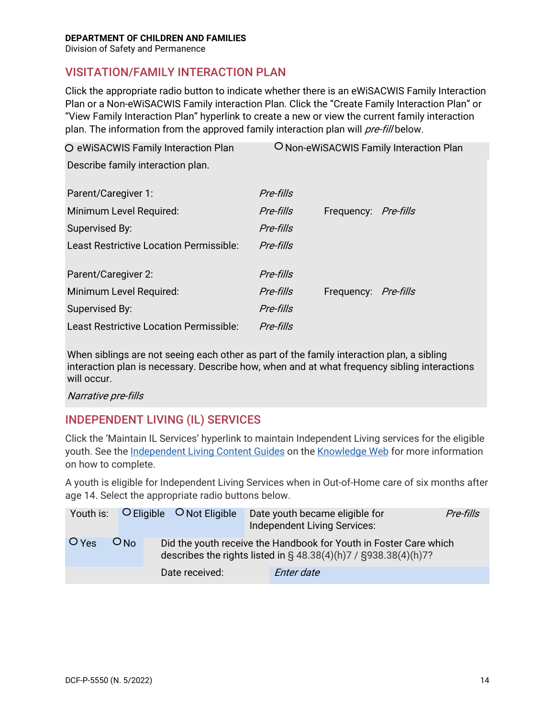Division of Safety and Permanence

### <span id="page-14-0"></span>VISITATION/FAMILY INTERACTION PLAN

Click the appropriate radio button to indicate whether there is an eWiSACWIS Family Interaction Plan or a Non-eWiSACWIS Family interaction Plan. Click the "Create Family Interaction Plan" or "View Family Interaction Plan" hyperlink to create a new or view the current family interaction plan. The information from the approved family interaction plan will pre-fill below.

| O eWiSACWIS Family Interaction Plan     | O Non-eWiSACWIS Family Interaction Plan |                             |  |
|-----------------------------------------|-----------------------------------------|-----------------------------|--|
| Describe family interaction plan.       |                                         |                             |  |
|                                         |                                         |                             |  |
| Parent/Caregiver 1:                     | Pre-fills                               |                             |  |
| Minimum Level Required:                 | Pre-fills                               | Frequency: <i>Pre-fills</i> |  |
| Supervised By:                          | Pre-fills                               |                             |  |
| Least Restrictive Location Permissible: | Pre-fills                               |                             |  |
|                                         |                                         |                             |  |
| Parent/Caregiver 2:                     | Pre-fills                               |                             |  |
| Minimum Level Required:                 | Pre-fills                               | Frequency: <i>Pre-fills</i> |  |
| Supervised By:                          | Pre-fills                               |                             |  |
| Least Restrictive Location Permissible: | Pre-fills                               |                             |  |
|                                         |                                         |                             |  |

When siblings are not seeing each other as part of the family interaction plan, a sibling interaction plan is necessary. Describe how, when and at what frequency sibling interactions will occur.

Narrative pre-fills

### <span id="page-14-1"></span>INDEPENDENT LIVING (IL) SERVICES

Click the 'Maintain IL Services' hyperlink to maintain Independent Living services for the eligible youth. See the [Independent Living Content Guides](https://dcf.wisconsin.gov/files/ewisacwis-knowledge-web/quick-reference-guides/planning/independent-living.pdf) on the [Knowledge Web](https://dcf.wisconsin.gov/knowledgeweb/training/ewisacwis-user-guides/case-work) for more information on how to complete.

A youth is eligible for Independent Living Services when in Out-of-Home care of six months after age 14. Select the appropriate radio buttons below.

|         |                 | Youth is: $\bigcirc$ Eligible $\bigcirc$ Not Eligible | Date youth became eligible for<br>Independent Living Services:                                                                              | Pre-fills |
|---------|-----------------|-------------------------------------------------------|---------------------------------------------------------------------------------------------------------------------------------------------|-----------|
| $O$ Yes | ON <sub>0</sub> |                                                       | Did the youth receive the Handbook for Youth in Foster Care which<br>describes the rights listed in $\S$ 48.38(4)(h)7 / $\S$ 938.38(4)(h)7? |           |
|         |                 | Date received:                                        | Enter date                                                                                                                                  |           |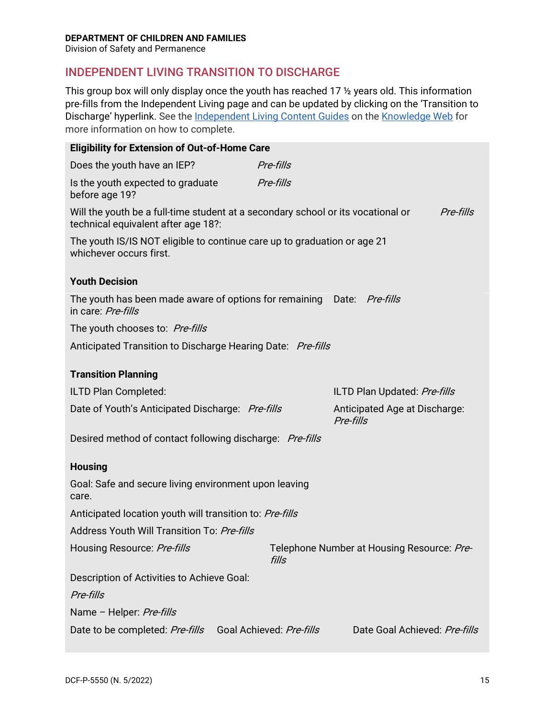Division of Safety and Permanence

## <span id="page-15-0"></span>INDEPENDENT LIVING TRANSITION TO DISCHARGE

This group box will only display once the youth has reached 17 ½ years old. This information pre-fills from the Independent Living page and can be updated by clicking on the 'Transition to Discharge' hyperlink. See th[e Independent Living Content Guides](https://dcf.wisconsin.gov/files/ewisacwis-knowledge-web/quick-reference-guides/planning/independent-living.pdf) on the [Knowledge Web](https://dcf.wisconsin.gov/knowledgeweb/training/ewisacwis-user-guides/case-work) for more information on how to complete.

| <b>Eligibility for Extension of Out-of-Home Care</b>                                                                    |                          |                                            |           |
|-------------------------------------------------------------------------------------------------------------------------|--------------------------|--------------------------------------------|-----------|
| Does the youth have an IEP?                                                                                             | Pre-fills                |                                            |           |
| Is the youth expected to graduate<br>before age 19?                                                                     | Pre-fills                |                                            |           |
| Will the youth be a full-time student at a secondary school or its vocational or<br>technical equivalent after age 18?: |                          |                                            | Pre-fills |
| The youth IS/IS NOT eligible to continue care up to graduation or age 21<br>whichever occurs first.                     |                          |                                            |           |
| <b>Youth Decision</b>                                                                                                   |                          |                                            |           |
| The youth has been made aware of options for remaining Date: Pre-fills<br>in care: Pre-fills                            |                          |                                            |           |
| The youth chooses to: Pre-fills                                                                                         |                          |                                            |           |
| Anticipated Transition to Discharge Hearing Date: Pre-fills                                                             |                          |                                            |           |
| <b>Transition Planning</b>                                                                                              |                          |                                            |           |
|                                                                                                                         |                          |                                            |           |
| ILTD Plan Completed:                                                                                                    |                          | ILTD Plan Updated: Pre-fills               |           |
| Date of Youth's Anticipated Discharge: Pre-fills                                                                        |                          | Anticipated Age at Discharge:<br>Pre-fills |           |
| Desired method of contact following discharge: Pre-fills                                                                |                          |                                            |           |
| <b>Housing</b>                                                                                                          |                          |                                            |           |
| Goal: Safe and secure living environment upon leaving<br>care.                                                          |                          |                                            |           |
| Anticipated location youth will transition to: Pre-fills                                                                |                          |                                            |           |
| Address Youth Will Transition To: Pre-fills                                                                             |                          |                                            |           |
| Housing Resource: Pre-fills                                                                                             | fills                    | Telephone Number at Housing Resource: Pre- |           |
| Description of Activities to Achieve Goal:                                                                              |                          |                                            |           |
| Pre-fills                                                                                                               |                          |                                            |           |
| Name - Helper: Pre-fills                                                                                                |                          |                                            |           |
| Date to be completed: Pre-fills                                                                                         | Goal Achieved: Pre-fills | Date Goal Achieved: Pre-fills              |           |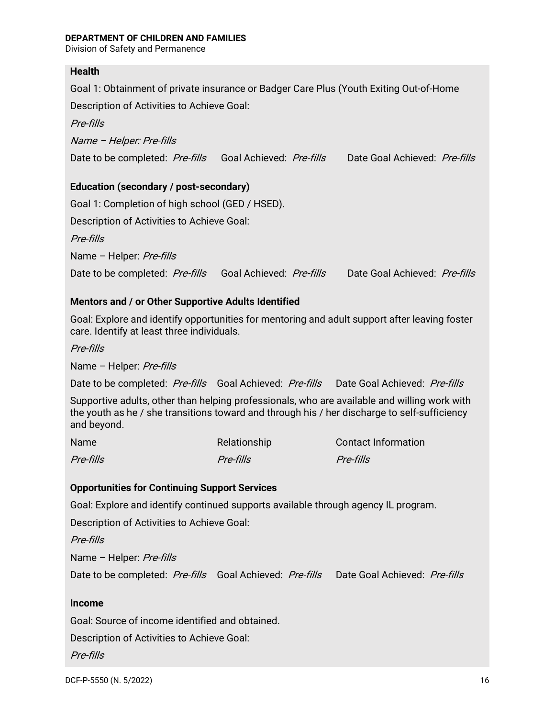Division of Safety and Permanence

### **Health**

Goal 1: Obtainment of private insurance or Badger Care Plus (Youth Exiting Out-of-Home

Description of Activities to Achieve Goal:

Pre-fills

Name – Helper: Pre-fills

Date to be completed: Pre-fills Goal Achieved: Pre-fills Date Goal Achieved: Pre-fills

### **Education (secondary / post-secondary)**

Goal 1: Completion of high school (GED / HSED).

Description of Activities to Achieve Goal:

Pre-fills

Name - Helper: Pre-fills

Date to be completed: Pre-fills Goal Achieved: Pre-fills Date Goal Achieved: Pre-fills

### **Mentors and / or Other Supportive Adults Identified**

Goal: Explore and identify opportunities for mentoring and adult support after leaving foster care. Identify at least three individuals.

Pre-fills

Name – Helper: Pre-fills

Date to be completed: Pre-fills Goal Achieved: Pre-fills Date Goal Achieved: Pre-fills

Supportive adults, other than helping professionals, who are available and willing work with the youth as he / she transitions toward and through his / her discharge to self-sufficiency and beyond.

| Name      | Relationship | <b>Contact Information</b> |
|-----------|--------------|----------------------------|
| Pre-fills | Pre-fills    | <i>Pre-fills</i>           |

#### **Opportunities for Continuing Support Services**

Goal: Explore and identify continued supports available through agency IL program.

Description of Activities to Achieve Goal:

Pre-fills

Name - Helper: Pre-fills

Date to be completed: Pre-fills Goal Achieved: Pre-fills Date Goal Achieved: Pre-fills

#### **Income**

Goal: Source of income identified and obtained.

Description of Activities to Achieve Goal:

Pre-fills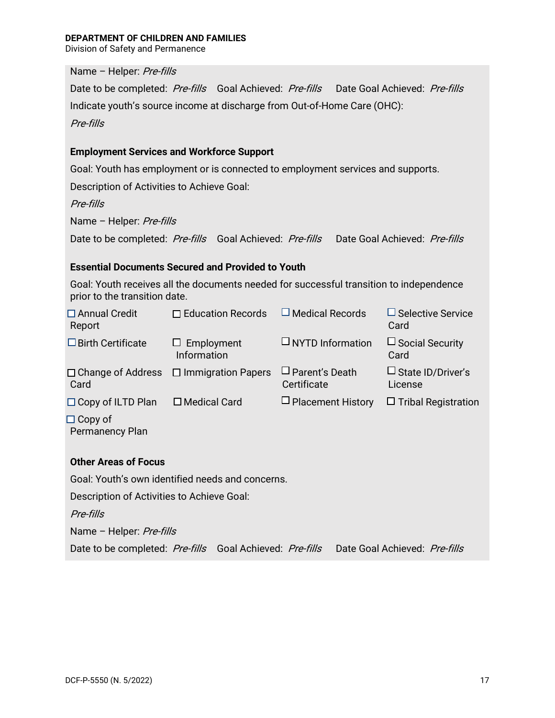Division of Safety and Permanence

Name - Helper: Pre-fills

Date to be completed: Pre-fills Goal Achieved: Pre-fills Date Goal Achieved: Pre-fills Indicate youth's source income at discharge from Out-of-Home Care (OHC): Pre-fills

#### **Employment Services and Workforce Support**

Goal: Youth has employment or is connected to employment services and supports.

Description of Activities to Achieve Goal:

Pre-fills

Name - Helper: Pre-fills

Date to be completed: Pre-fills Goal Achieved: Pre-fills Date Goal Achieved: Pre-fills

#### **Essential Documents Secured and Provided to Youth**

Goal: Youth receives all the documents needed for successful transition to independence prior to the transition date.

| $\Box$ Annual Credit<br>Report           | $\Box$ Education Records                           | $\Box$ Medical Records               | $\Box$ Selective Service<br>Card       |
|------------------------------------------|----------------------------------------------------|--------------------------------------|----------------------------------------|
| $\Box$ Birth Certificate                 | $\Box$ Employment<br>Information                   | $\Box$ NYTD Information              | $\Box$ Social Security<br>Card         |
| Card                                     | $\Box$ Change of Address $\Box$ Immigration Papers | $\Box$ Parent's Death<br>Certificate | $\square$ State ID/Driver's<br>License |
| $\Box$ Copy of ILTD Plan                 | $\Box$ Medical Card                                | $\Box$ Placement History             | $\Box$ Tribal Registration             |
| $\Box$ Copy of<br><b>Permanency Plan</b> |                                                    |                                      |                                        |

#### **Other Areas of Focus**

Goal: Youth's own identified needs and concerns.

Description of Activities to Achieve Goal:

Pre-fills

Name - Helper: Pre-fills

Date to be completed: Pre-fills Goal Achieved: Pre-fills Date Goal Achieved: Pre-fills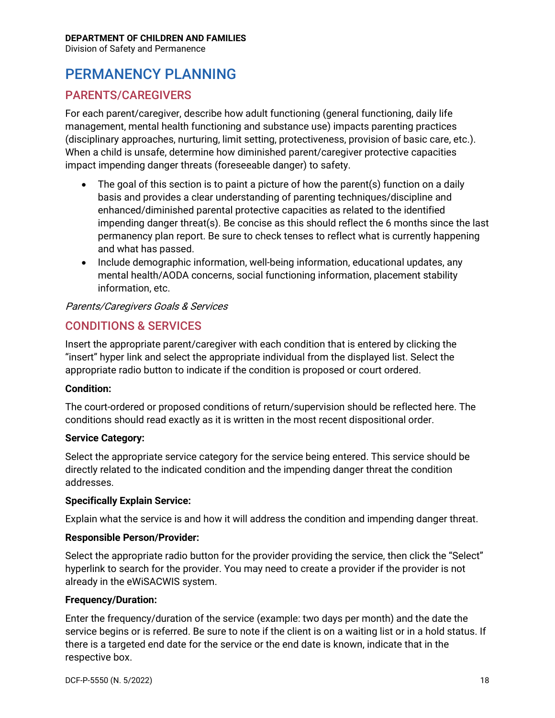Division of Safety and Permanence

## <span id="page-18-0"></span>PERMANENCY PLANNING

### <span id="page-18-1"></span>PARENTS/CAREGIVERS

For each parent/caregiver, describe how adult functioning (general functioning, daily life management, mental health functioning and substance use) impacts parenting practices (disciplinary approaches, nurturing, limit setting, protectiveness, provision of basic care, etc.). When a child is unsafe, determine how diminished parent/caregiver protective capacities impact impending danger threats (foreseeable danger) to safety.

- The goal of this section is to paint a picture of how the parent(s) function on a daily basis and provides a clear understanding of parenting techniques/discipline and enhanced/diminished parental protective capacities as related to the identified impending danger threat(s). Be concise as this should reflect the 6 months since the last permanency plan report. Be sure to check tenses to reflect what is currently happening and what has passed.
- Include demographic information, well-being information, educational updates, any mental health/AODA concerns, social functioning information, placement stability information, etc.

### Parents/Caregivers Goals & Services

### <span id="page-18-2"></span>CONDITIONS & SERVICES

Insert the appropriate parent/caregiver with each condition that is entered by clicking the "insert" hyper link and select the appropriate individual from the displayed list. Select the appropriate radio button to indicate if the condition is proposed or court ordered.

#### **Condition:**

The court-ordered or proposed conditions of return/supervision should be reflected here. The conditions should read exactly as it is written in the most recent dispositional order.

#### **Service Category:**

Select the appropriate service category for the service being entered. This service should be directly related to the indicated condition and the impending danger threat the condition addresses.

#### **Specifically Explain Service:**

Explain what the service is and how it will address the condition and impending danger threat.

#### **Responsible Person/Provider:**

Select the appropriate radio button for the provider providing the service, then click the "Select" hyperlink to search for the provider. You may need to create a provider if the provider is not already in the eWiSACWIS system.

#### **Frequency/Duration:**

Enter the frequency/duration of the service (example: two days per month) and the date the service begins or is referred. Be sure to note if the client is on a waiting list or in a hold status. If there is a targeted end date for the service or the end date is known, indicate that in the respective box.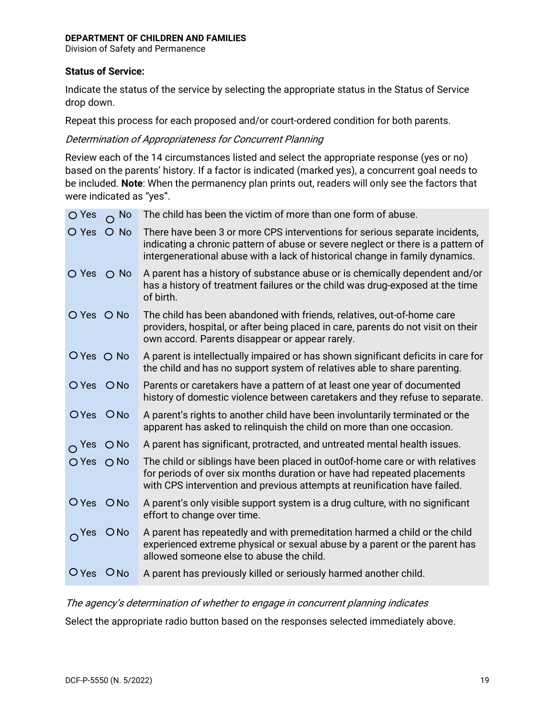Division of Safety and Permanence

#### **Status of Service:**

Indicate the status of the service by selecting the appropriate status in the Status of Service drop down.

Repeat this process for each proposed and/or court-ordered condition for both parents.

#### Determination of Appropriateness for Concurrent Planning

Review each of the 14 circumstances listed and select the appropriate response (yes or no) based on the parents' history. If a factor is indicated (marked yes), a concurrent goal needs to be included. **Note**: When the permanency plan prints out, readers will only see the factors that were indicated as "yes".

| O Yes<br>$\Omega$ No          | The child has been the victim of more than one form of abuse.                                                                                                                                                                                   |
|-------------------------------|-------------------------------------------------------------------------------------------------------------------------------------------------------------------------------------------------------------------------------------------------|
| $\bigcirc$ Yes<br>$O$ No      | There have been 3 or more CPS interventions for serious separate incidents,<br>indicating a chronic pattern of abuse or severe neglect or there is a pattern of<br>intergenerational abuse with a lack of historical change in family dynamics. |
| O Yes O No                    | A parent has a history of substance abuse or is chemically dependent and/or<br>has a history of treatment failures or the child was drug-exposed at the time<br>of birth.                                                                       |
| O Yes O No                    | The child has been abandoned with friends, relatives, out-of-home care<br>providers, hospital, or after being placed in care, parents do not visit on their<br>own accord. Parents disappear or appear rarely.                                  |
| O Yes O No                    | A parent is intellectually impaired or has shown significant deficits in care for<br>the child and has no support system of relatives able to share parenting.                                                                                  |
| O Yes O No                    | Parents or caretakers have a pattern of at least one year of documented<br>history of domestic violence between caretakers and they refuse to separate.                                                                                         |
| OYes ONo                      | A parent's rights to another child have been involuntarily terminated or the<br>apparent has asked to relinguish the child on more than one occasion.                                                                                           |
| $\bigcirc$ No<br>$\Omega$ Yes | A parent has significant, protracted, and untreated mental health issues.                                                                                                                                                                       |
| $O$ Yes<br>$O$ No             | The child or siblings have been placed in out0of-home care or with relatives<br>for periods of over six months duration or have had repeated placements<br>with CPS intervention and previous attempts at reunification have failed.            |
| O Yes O No                    | A parent's only visible support system is a drug culture, with no significant<br>effort to change over time.                                                                                                                                    |
| ONO<br>O <sup>Yes</sup>       | A parent has repeatedly and with premeditation harmed a child or the child<br>experienced extreme physical or sexual abuse by a parent or the parent has<br>allowed someone else to abuse the child.                                            |
| $O$ Yes $O$ No                | A parent has previously killed or seriously harmed another child.                                                                                                                                                                               |

#### The agency's determination of whether to engage in concurrent planning indicates

Select the appropriate radio button based on the responses selected immediately above.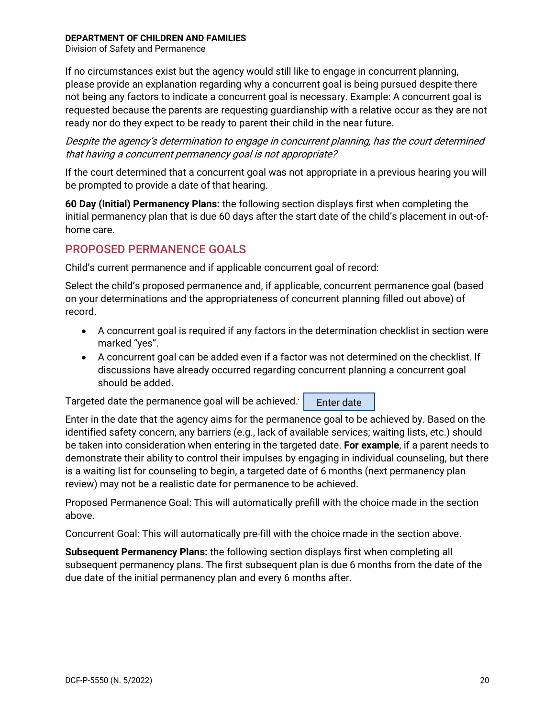Division of Safety and Permanence

If no circumstances exist but the agency would still like to engage in concurrent planning, please provide an explanation regarding why a concurrent goal is being pursued despite there not being any factors to indicate a concurrent goal is necessary. Example: A concurrent goal is requested because the parents are requesting guardianship with a relative occur as they are not ready nor do they expect to be ready to parent their child in the near future.

Despite the agency's determination to engage in concurrent planning, has the court determined that having a concurrent permanency goal is not appropriate?

If the court determined that a concurrent goal was not appropriate in a previous hearing you will be prompted to provide a date of that hearing.

**60 Day (Initial) Permanency Plans:** the following section displays first when completing the initial permanency plan that is due 60 days after the start date of the child's placement in out-ofhome care.

### <span id="page-20-0"></span>PROPOSED PERMANENCE GOALS

Child's current permanence and if applicable concurrent goal of record:

Select the child's proposed permanence and, if applicable, concurrent permanence goal (based on your determinations and the appropriateness of concurrent planning filled out above) of record.

- A concurrent goal is required if any factors in the determination checklist in section were marked "yes".
- A concurrent goal can be added even if a factor was not determined on the checklist. If discussions have already occurred regarding concurrent planning a concurrent goal should be added.

Enter date Targeted date the permanence goal will be achieved:

Enter in the date that the agency aims for the permanence goal to be achieved by. Based on the identified safety concern, any barriers (e.g., lack of available services; waiting lists, etc.) should be taken into consideration when entering in the targeted date. **For example**, if a parent needs to demonstrate their ability to control their impulses by engaging in individual counseling, but there is a waiting list for counseling to begin, a targeted date of 6 months (next permanency plan review) may not be a realistic date for permanence to be achieved.

Proposed Permanence Goal: This will automatically prefill with the choice made in the section above.

Concurrent Goal: This will automatically pre-fill with the choice made in the section above.

**Subsequent Permanency Plans:** the following section displays first when completing all subsequent permanency plans. The first subsequent plan is due 6 months from the date of the due date of the initial permanency plan and every 6 months after.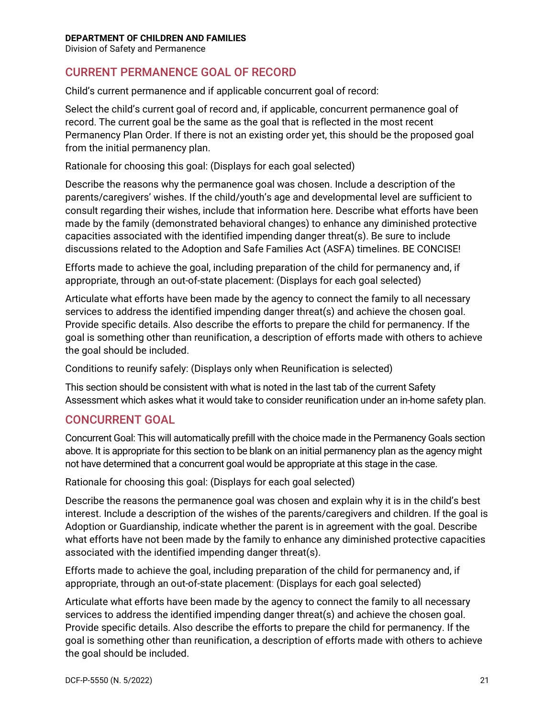Division of Safety and Permanence

### <span id="page-21-0"></span>CURRENT PERMANENCE GOAL OF RECORD

Child's current permanence and if applicable concurrent goal of record:

Select the child's current goal of record and, if applicable, concurrent permanence goal of record. The current goal be the same as the goal that is reflected in the most recent Permanency Plan Order. If there is not an existing order yet, this should be the proposed goal from the initial permanency plan.

Rationale for choosing this goal: (Displays for each goal selected)

Describe the reasons why the permanence goal was chosen. Include a description of the parents/caregivers' wishes. If the child/youth's age and developmental level are sufficient to consult regarding their wishes, include that information here. Describe what efforts have been made by the family (demonstrated behavioral changes) to enhance any diminished protective capacities associated with the identified impending danger threat(s). Be sure to include discussions related to the Adoption and Safe Families Act (ASFA) timelines. BE CONCISE!

Efforts made to achieve the goal, including preparation of the child for permanency and, if appropriate, through an out-of-state placement: (Displays for each goal selected)

Articulate what efforts have been made by the agency to connect the family to all necessary services to address the identified impending danger threat(s) and achieve the chosen goal. Provide specific details. Also describe the efforts to prepare the child for permanency. If the goal is something other than reunification, a description of efforts made with others to achieve the goal should be included.

Conditions to reunify safely: (Displays only when Reunification is selected)

This section should be consistent with what is noted in the last tab of the current Safety Assessment which askes what it would take to consider reunification under an in-home safety plan.

### <span id="page-21-1"></span>CONCURRENT GOAL

Concurrent Goal: This will automatically prefill with the choice made in the Permanency Goals section above. It is appropriate for this section to be blank on an initial permanency plan as the agency might not have determined that a concurrent goal would be appropriate at this stage in the case.

Rationale for choosing this goal: (Displays for each goal selected)

Describe the reasons the permanence goal was chosen and explain why it is in the child's best interest. Include a description of the wishes of the parents/caregivers and children. If the goal is Adoption or Guardianship, indicate whether the parent is in agreement with the goal. Describe what efforts have not been made by the family to enhance any diminished protective capacities associated with the identified impending danger threat(s).

Efforts made to achieve the goal, including preparation of the child for permanency and, if appropriate, through an out-of-state placement: (Displays for each goal selected)

Articulate what efforts have been made by the agency to connect the family to all necessary services to address the identified impending danger threat(s) and achieve the chosen goal. Provide specific details. Also describe the efforts to prepare the child for permanency. If the goal is something other than reunification, a description of efforts made with others to achieve the goal should be included.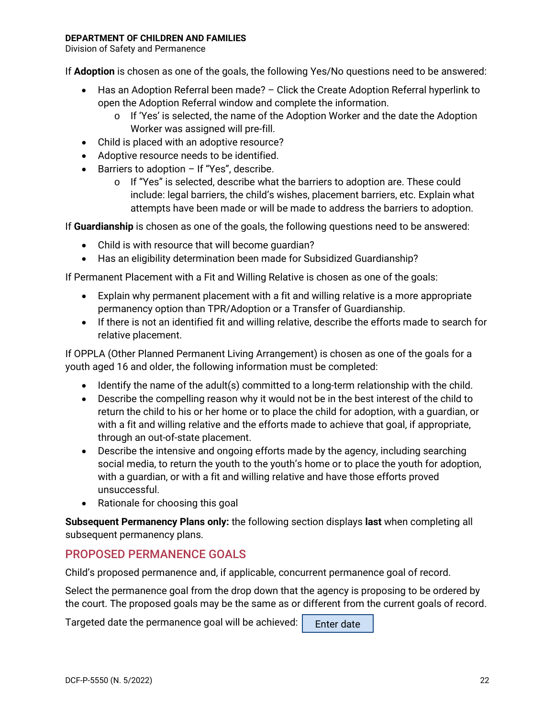Division of Safety and Permanence

If **Adoption** is chosen as one of the goals, the following Yes/No questions need to be answered:

- Has an Adoption Referral been made? Click the Create Adoption Referral hyperlink to open the Adoption Referral window and complete the information.
	- $\circ$  If 'Yes' is selected, the name of the Adoption Worker and the date the Adoption Worker was assigned will pre-fill.
- Child is placed with an adoptive resource?
- Adoptive resource needs to be identified.
- Barriers to adoption If "Yes", describe.
	- $\circ$  If "Yes" is selected, describe what the barriers to adoption are. These could include: legal barriers, the child's wishes, placement barriers, etc. Explain what attempts have been made or will be made to address the barriers to adoption.

If **Guardianship** is chosen as one of the goals, the following questions need to be answered:

- Child is with resource that will become guardian?
- Has an eligibility determination been made for Subsidized Guardianship?

If Permanent Placement with a Fit and Willing Relative is chosen as one of the goals:

- Explain why permanent placement with a fit and willing relative is a more appropriate permanency option than TPR/Adoption or a Transfer of Guardianship.
- If there is not an identified fit and willing relative, describe the efforts made to search for relative placement.

If OPPLA (Other Planned Permanent Living Arrangement) is chosen as one of the goals for a youth aged 16 and older, the following information must be completed:

- Identify the name of the adult(s) committed to a long-term relationship with the child.
- Describe the compelling reason why it would not be in the best interest of the child to return the child to his or her home or to place the child for adoption, with a guardian, or with a fit and willing relative and the efforts made to achieve that goal, if appropriate, through an out-of-state placement.
- Describe the intensive and ongoing efforts made by the agency, including searching social media, to return the youth to the youth's home or to place the youth for adoption, with a guardian, or with a fit and willing relative and have those efforts proved unsuccessful.
- Rationale for choosing this goal

**Subsequent Permanency Plans only:** the following section displays **last** when completing all subsequent permanency plans.

### <span id="page-22-0"></span>PROPOSED PERMANENCE GOALS

Child's proposed permanence and, if applicable, concurrent permanence goal of record.

Select the permanence goal from the drop down that the agency is proposing to be ordered by the court. The proposed goals may be the same as or different from the current goals of record.

Targeted date the permanence goal will be achieved:

Enter date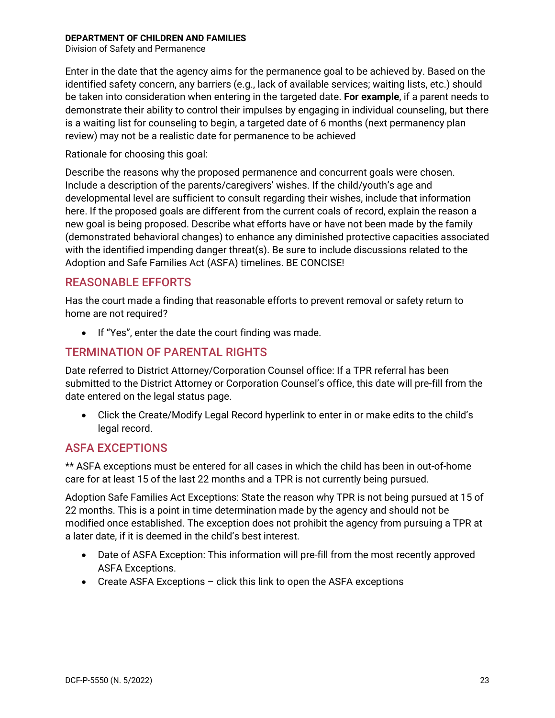Division of Safety and Permanence

Enter in the date that the agency aims for the permanence goal to be achieved by. Based on the identified safety concern, any barriers (e.g., lack of available services; waiting lists, etc.) should be taken into consideration when entering in the targeted date. **For example**, if a parent needs to demonstrate their ability to control their impulses by engaging in individual counseling, but there is a waiting list for counseling to begin, a targeted date of 6 months (next permanency plan review) may not be a realistic date for permanence to be achieved

Rationale for choosing this goal:

Describe the reasons why the proposed permanence and concurrent goals were chosen. Include a description of the parents/caregivers' wishes. If the child/youth's age and developmental level are sufficient to consult regarding their wishes, include that information here. If the proposed goals are different from the current coals of record, explain the reason a new goal is being proposed. Describe what efforts have or have not been made by the family (demonstrated behavioral changes) to enhance any diminished protective capacities associated with the identified impending danger threat(s). Be sure to include discussions related to the Adoption and Safe Families Act (ASFA) timelines. BE CONCISE!

### <span id="page-23-0"></span>REASONABLE EFFORTS

Has the court made a finding that reasonable efforts to prevent removal or safety return to home are not required?

• If "Yes", enter the date the court finding was made.

### <span id="page-23-1"></span>TERMINATION OF PARENTAL RIGHTS

Date referred to District Attorney/Corporation Counsel office: If a TPR referral has been submitted to the District Attorney or Corporation Counsel's office, this date will pre-fill from the date entered on the legal status page.

• Click the Create/Modify Legal Record hyperlink to enter in or make edits to the child's legal record.

### <span id="page-23-2"></span>ASFA EXCEPTIONS

\*\* ASFA exceptions must be entered for all cases in which the child has been in out-of-home care for at least 15 of the last 22 months and a TPR is not currently being pursued.

Adoption Safe Families Act Exceptions: State the reason why TPR is not being pursued at 15 of 22 months. This is a point in time determination made by the agency and should not be modified once established. The exception does not prohibit the agency from pursuing a TPR at a later date, if it is deemed in the child's best interest.

- Date of ASFA Exception: This information will pre-fill from the most recently approved ASFA Exceptions.
- Create ASFA Exceptions click this link to open the ASFA exceptions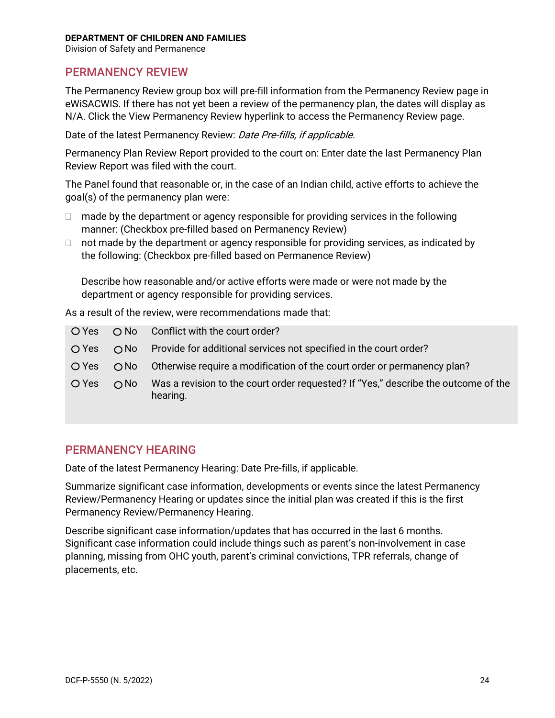Division of Safety and Permanence

### <span id="page-24-0"></span>PERMANENCY REVIEW

The Permanency Review group box will pre-fill information from the Permanency Review page in eWiSACWIS. If there has not yet been a review of the permanency plan, the dates will display as N/A. Click the View Permanency Review hyperlink to access the Permanency Review page.

Date of the latest Permanency Review: Date Pre-fills, if applicable.

Permanency Plan Review Report provided to the court on: Enter date the last Permanency Plan Review Report was filed with the court.

The Panel found that reasonable or, in the case of an Indian child, active efforts to achieve the goal(s) of the permanency plan were:

- $\Box$  made by the department or agency responsible for providing services in the following manner: (Checkbox pre-filled based on Permanency Review)
- $\Box$  not made by the department or agency responsible for providing services, as indicated by the following: (Checkbox pre-filled based on Permanence Review)

Describe how reasonable and/or active efforts were made or were not made by the department or agency responsible for providing services.

As a result of the review, were recommendations made that:

| O Yes |              | $\bigcirc$ No Conflict with the court order?                                                   |
|-------|--------------|------------------------------------------------------------------------------------------------|
| O Yes |              | $\bigcirc$ No Provide for additional services not specified in the court order?                |
| O Yes |              | $\bigcirc$ No Otherwise require a modification of the court order or permanency plan?          |
| O Yes | $\bigcap$ No | Was a revision to the court order requested? If "Yes," describe the outcome of the<br>hearing. |

### <span id="page-24-1"></span>PERMANENCY HEARING

Date of the latest Permanency Hearing: Date Pre-fills, if applicable.

Summarize significant case information, developments or events since the latest Permanency Review/Permanency Hearing or updates since the initial plan was created if this is the first Permanency Review/Permanency Hearing.

Describe significant case information/updates that has occurred in the last 6 months. Significant case information could include things such as parent's non-involvement in case planning, missing from OHC youth, parent's criminal convictions, TPR referrals, change of placements, etc.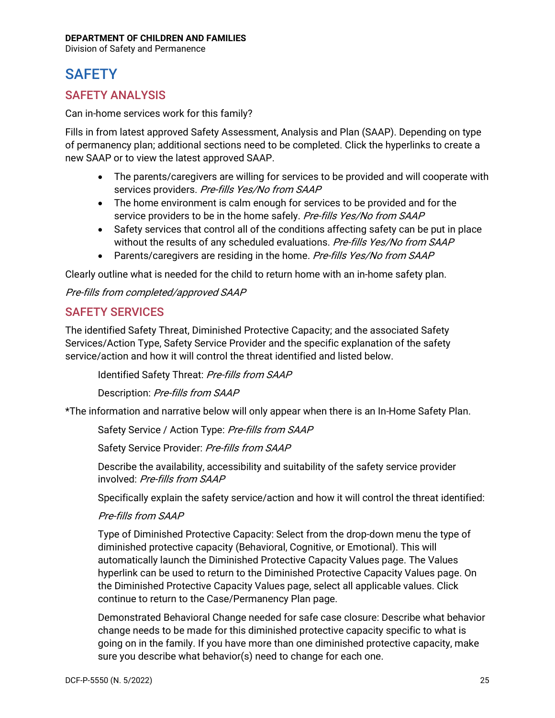Division of Safety and Permanence

## <span id="page-25-0"></span>**SAFETY**

### <span id="page-25-1"></span>SAFETY ANALYSIS

Can in-home services work for this family?

Fills in from latest approved Safety Assessment, Analysis and Plan (SAAP). Depending on type of permanency plan; additional sections need to be completed. Click the hyperlinks to create a new SAAP or to view the latest approved SAAP.

- The parents/caregivers are willing for services to be provided and will cooperate with services providers. Pre-fills Yes/No from SAAP
- The home environment is calm enough for services to be provided and for the service providers to be in the home safely. Pre-fills Yes/No from SAAP
- Safety services that control all of the conditions affecting safety can be put in place without the results of any scheduled evaluations. Pre-fills Yes/No from SAAP
- Parents/caregivers are residing in the home. Pre-fills Yes/No from SAAP

Clearly outline what is needed for the child to return home with an in-home safety plan.

Pre-fills from completed/approved SAAP

### <span id="page-25-2"></span>SAFETY SERVICES

The identified Safety Threat, Diminished Protective Capacity; and the associated Safety Services/Action Type, Safety Service Provider and the specific explanation of the safety service/action and how it will control the threat identified and listed below.

Identified Safety Threat: Pre-fills from SAAP

Description: Pre-fills from SAAP

\*The information and narrative below will only appear when there is an In-Home Safety Plan.

Safety Service / Action Type: Pre-fills from SAAP

Safety Service Provider: Pre-fills from SAAP

Describe the availability, accessibility and suitability of the safety service provider involved: Pre-fills from SAAP

Specifically explain the safety service/action and how it will control the threat identified:

#### Pre-fills from SAAP

Type of Diminished Protective Capacity: Select from the drop-down menu the type of diminished protective capacity (Behavioral, Cognitive, or Emotional). This will automatically launch the Diminished Protective Capacity Values page. The Values hyperlink can be used to return to the Diminished Protective Capacity Values page. On the Diminished Protective Capacity Values page, select all applicable values. Click continue to return to the Case/Permanency Plan page.

Demonstrated Behavioral Change needed for safe case closure: Describe what behavior change needs to be made for this diminished protective capacity specific to what is going on in the family. If you have more than one diminished protective capacity, make sure you describe what behavior(s) need to change for each one.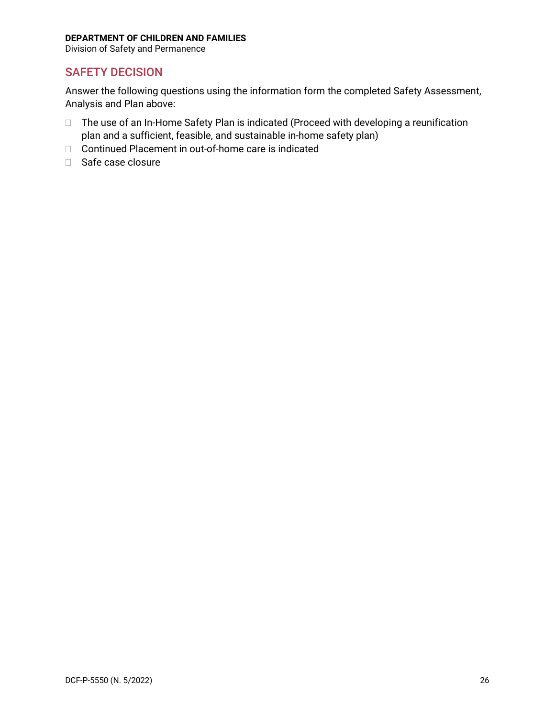Division of Safety and Permanence

### <span id="page-26-0"></span>SAFETY DECISION

Answer the following questions using the information form the completed Safety Assessment, Analysis and Plan above:

- □ The use of an In-Home Safety Plan is indicated (Proceed with developing a reunification plan and a sufficient, feasible, and sustainable in-home safety plan)
- □ Continued Placement in out-of-home care is indicated
- □ Safe case closure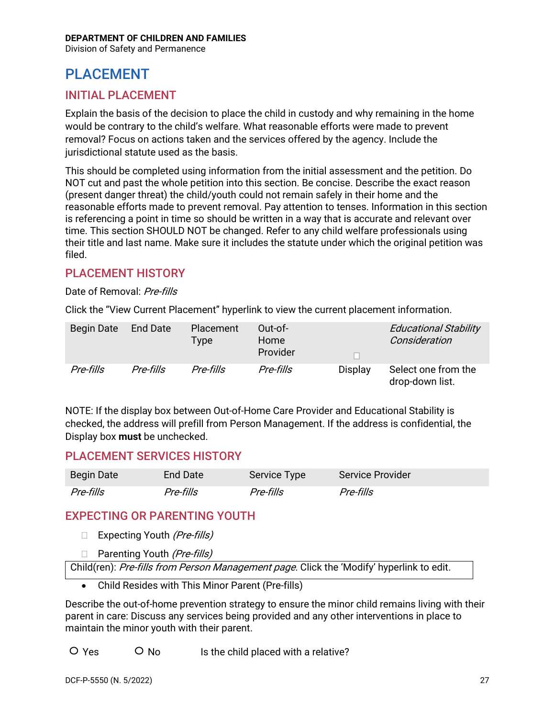Division of Safety and Permanence

## <span id="page-27-0"></span>PLACEMENT

### <span id="page-27-1"></span>INITIAL PLACEMENT

Explain the basis of the decision to place the child in custody and why remaining in the home would be contrary to the child's welfare. What reasonable efforts were made to prevent removal? Focus on actions taken and the services offered by the agency. Include the jurisdictional statute used as the basis.

This should be completed using information from the initial assessment and the petition. Do NOT cut and past the whole petition into this section. Be concise. Describe the exact reason (present danger threat) the child/youth could not remain safely in their home and the reasonable efforts made to prevent removal. Pay attention to tenses. Information in this section is referencing a point in time so should be written in a way that is accurate and relevant over time. This section SHOULD NOT be changed. Refer to any child welfare professionals using their title and last name. Make sure it includes the statute under which the original petition was filed.

### <span id="page-27-2"></span>PLACEMENT HISTORY

### Date of Removal: Pre-fills

Click the "View Current Placement" hyperlink to view the current placement information.

| Begin Date | <b>End Date</b> | Placement<br>Type | Out-of-<br>Home<br>Provider |         | <b>Educational Stability</b><br>Consideration |
|------------|-----------------|-------------------|-----------------------------|---------|-----------------------------------------------|
| Pre-fills  | Pre-fills       | Pre-fills         | Pre-fills                   | Display | Select one from the<br>drop-down list.        |

NOTE: If the display box between Out-of-Home Care Provider and Educational Stability is checked, the address will prefill from Person Management. If the address is confidential, the Display box **must** be unchecked.

### <span id="page-27-3"></span>PLACEMENT SERVICES HISTORY

| Begin Date | End Date  | Service Type | <b>Service Provider</b> |
|------------|-----------|--------------|-------------------------|
| Pre-fills  | Pre-fills | Pre-fills    | Pre-fills               |

### <span id="page-27-4"></span>EXPECTING OR PARENTING YOUTH

- $\Box$  Expecting Youth (*Pre-fills*)
- □ Parenting Youth (*Pre-fills*)

Child(ren): Pre-fills from Person Management page. Click the 'Modify' hyperlink to edit.

• Child Resides with This Minor Parent (Pre-fills)

Describe the out-of-home prevention strategy to ensure the minor child remains living with their parent in care: Discuss any services being provided and any other interventions in place to maintain the minor youth with their parent.

 $\overline{O}$  Yes  $\overline{O}$  No Is the child placed with a relative?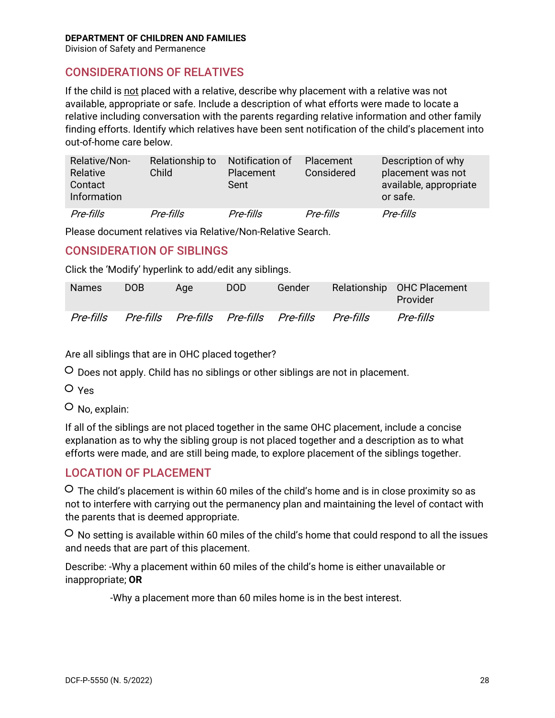Division of Safety and Permanence

### <span id="page-28-0"></span>CONSIDERATIONS OF RELATIVES

If the child is not placed with a relative, describe why placement with a relative was not available, appropriate or safe. Include a description of what efforts were made to locate a relative including conversation with the parents regarding relative information and other family finding efforts. Identify which relatives have been sent notification of the child's placement into out-of-home care below.

| Relative/Non-<br>Relative<br>Contact<br><b>Information</b> | Relationship to<br>Child | Notification of<br><b>Placement</b><br>Sent | Placement<br>Considered | Description of why<br>placement was not<br>available, appropriate<br>or safe. |
|------------------------------------------------------------|--------------------------|---------------------------------------------|-------------------------|-------------------------------------------------------------------------------|
| Pre-fills                                                  | Pre-fills                | Pre-fills                                   | Pre-fills               | Pre-fills                                                                     |

Please document relatives via Relative/Non-Relative Search.

### <span id="page-28-1"></span>CONSIDERATION OF SIBLINGS

Click the 'Modify' hyperlink to add/edit any siblings.

| <b>Names</b> | DOB. | Age | DOD. | Gender                                            | Relationship OHC Placement<br>Provider |
|--------------|------|-----|------|---------------------------------------------------|----------------------------------------|
| Pre-fills    |      |     |      | Pre-fills Pre-fills Pre-fills Pre-fills Pre-fills | Pre-fills                              |

Are all siblings that are in OHC placed together?

Does not apply. Child has no siblings or other siblings are not in placement.

O Yes

No, explain:

If all of the siblings are not placed together in the same OHC placement, include a concise explanation as to why the sibling group is not placed together and a description as to what efforts were made, and are still being made, to explore placement of the siblings together.

### <span id="page-28-2"></span>LOCATION OF PLACEMENT

 $\overline{O}$  The child's placement is within 60 miles of the child's home and is in close proximity so as not to interfere with carrying out the permanency plan and maintaining the level of contact with the parents that is deemed appropriate.

 $\circ$  No setting is available within 60 miles of the child's home that could respond to all the issues and needs that are part of this placement.

Describe: -Why a placement within 60 miles of the child's home is either unavailable or inappropriate; **OR**

-Why a placement more than 60 miles home is in the best interest.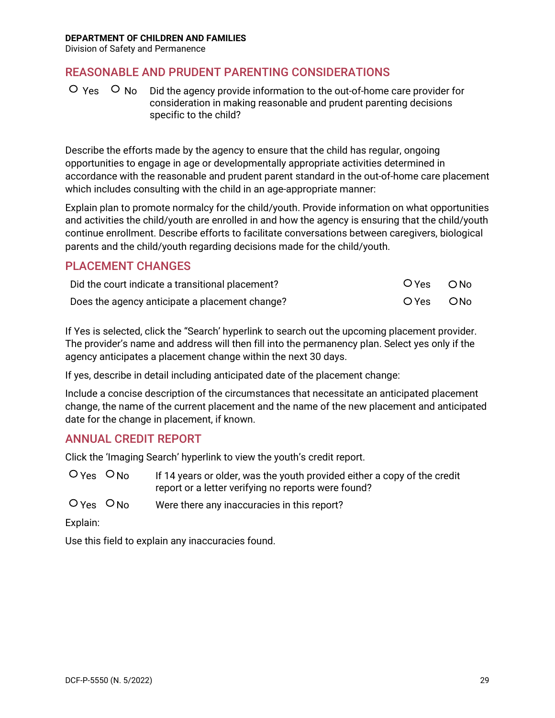Division of Safety and Permanence

### <span id="page-29-0"></span>REASONABLE AND PRUDENT PARENTING CONSIDERATIONS

 $\overline{O}$  Yes  $\overline{O}$  No  $\overline{O}$  Did the agency provide information to the out-of-home care provider for consideration in making reasonable and prudent parenting decisions specific to the child?

Describe the efforts made by the agency to ensure that the child has regular, ongoing opportunities to engage in age or developmentally appropriate activities determined in accordance with the reasonable and prudent parent standard in the out-of-home care placement which includes consulting with the child in an age-appropriate manner:

Explain plan to promote normalcy for the child/youth. Provide information on what opportunities and activities the child/youth are enrolled in and how the agency is ensuring that the child/youth continue enrollment. Describe efforts to facilitate conversations between caregivers, biological parents and the child/youth regarding decisions made for the child/youth.

### <span id="page-29-1"></span>PLACEMENT CHANGES

| Did the court indicate a transitional placement? | $OYes$ $ONo$ |  |
|--------------------------------------------------|--------------|--|
| Does the agency anticipate a placement change?   | O Yes O No   |  |

If Yes is selected, click the "Search' hyperlink to search out the upcoming placement provider. The provider's name and address will then fill into the permanency plan. Select yes only if the agency anticipates a placement change within the next 30 days.

If yes, describe in detail including anticipated date of the placement change:

Include a concise description of the circumstances that necessitate an anticipated placement change, the name of the current placement and the name of the new placement and anticipated date for the change in placement, if known.

### <span id="page-29-2"></span>ANNUAL CREDIT REPORT

Click the 'Imaging Search' hyperlink to view the youth's credit report.

- $\overline{O}$  Yes  $\overline{O}$  No If 14 years or older, was the youth provided either a copy of the credit report or a letter verifying no reports were found?
- $O$  Yes  $O$  No Were there any inaccuracies in this report?

#### Explain:

Use this field to explain any inaccuracies found.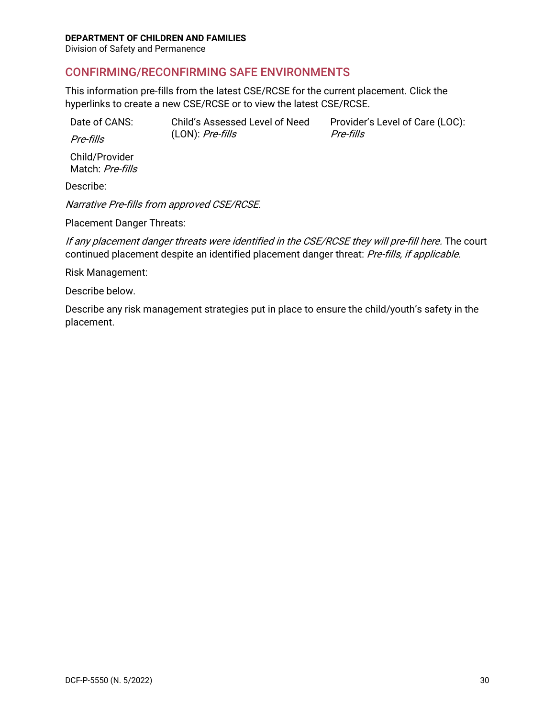Division of Safety and Permanence

### <span id="page-30-0"></span>CONFIRMING/RECONFIRMING SAFE ENVIRONMENTS

This information pre-fills from the latest CSE/RCSE for the current placement. Click the hyperlinks to create a new CSE/RCSE or to view the latest CSE/RCSE.

| Date of CANS: | Child's Assessed Level of Need | Provider's Level of Care (LOC): |
|---------------|--------------------------------|---------------------------------|
| Pre-fills     | $(LON)$ : <i>Pre-fills</i>     | Pre-fills                       |

Child/Provider

Match: Pre-fills

Describe:

Narrative Pre-fills from approved CSE/RCSE.

Placement Danger Threats:

If any placement danger threats were identified in the CSE/RCSE they will pre-fill here. The court continued placement despite an identified placement danger threat: Pre-fills, if applicable.

Risk Management:

Describe below.

Describe any risk management strategies put in place to ensure the child/youth's safety in the placement.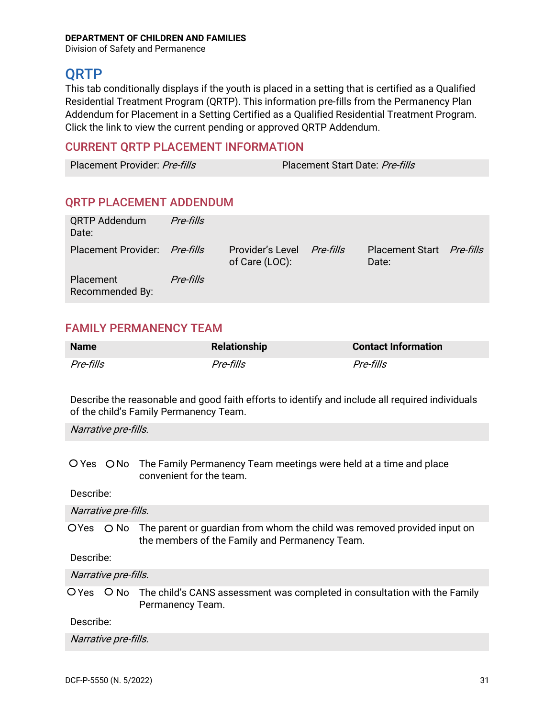Division of Safety and Permanence

### <span id="page-31-0"></span>**ORTP**

This tab conditionally displays if the youth is placed in a setting that is certified as a Qualified Residential Treatment Program (QRTP). This information pre-fills from the Permanency Plan Addendum for Placement in a Setting Certified as a Qualified Residential Treatment Program. Click the link to view the current pending or approved QRTP Addendum.

### <span id="page-31-1"></span>CURRENT QRTP PLACEMENT INFORMATION

Placement Provider: Pre-fills Placement Start Date: Pre-fills

### <span id="page-31-2"></span>QRTP PLACEMENT ADDENDUM

| <b>QRTP Addendum</b><br>Date: | Pre-fills |                                              |                                    |  |
|-------------------------------|-----------|----------------------------------------------|------------------------------------|--|
| Placement Provider: Pre-fills |           | Provider's Level Pre-fills<br>of Care (LOC): | Placement Start Pre-fills<br>Date: |  |
| Placement<br>Recommended By:  | Pre-fills |                                              |                                    |  |

### <span id="page-31-3"></span>FAMILY PERMANENCY TEAM

| <b>Name</b> | <b>Relationship</b> | <b>Contact Information</b> |
|-------------|---------------------|----------------------------|
| Pre-fills   | Pre-fills           | Pre-fills                  |

Describe the reasonable and good faith efforts to identify and include all required individuals of the child's Family Permanency Team.

Narrative pre-fills.

O Yes O No The Family Permanency Team meetings were held at a time and place convenient for the team.

Describe:

Narrative pre-fills.

 $OYes$   $O No$  The parent or quardian from whom the child was removed provided input on the members of the Family and Permanency Team.

Describe:

Narrative pre-fills.

 $\overline{O}$  Yes  $\overline{O}$  No  $\overline{O}$  The child's CANS assessment was completed in consultation with the Family Permanency Team.

Describe:

Narrative pre-fills.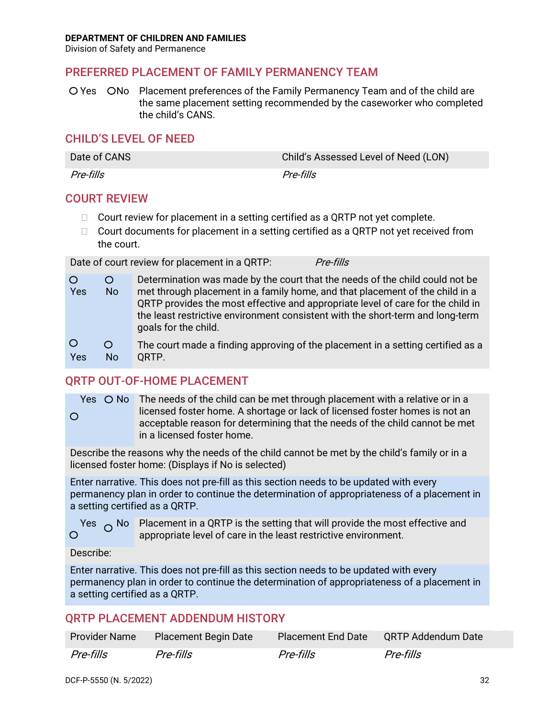Division of Safety and Permanence

### <span id="page-32-0"></span>PREFERRED PLACEMENT OF FAMILY PERMANENCY TEAM

O Yes ONo Placement preferences of the Family Permanency Team and of the child are the same placement setting recommended by the caseworker who completed the child's CANS.

### <span id="page-32-1"></span>CHILD'S LEVEL OF NEED

| Date of CANS | Child's Assessed Level of Need (LON) |
|--------------|--------------------------------------|
| Pre-fills    | Pre-fills                            |

### <span id="page-32-2"></span>COURT REVIEW

- $\Box$  Court review for placement in a setting certified as a QRTP not yet complete.
- $\Box$  Court documents for placement in a setting certified as a QRTP not yet received from the court.

Date of court review for placement in a QRTP: Pre-fills

| $\circ$<br>Yes | Ő<br>N <sub>o</sub> | Determination was made by the court that the needs of the child could not be<br>met through placement in a family home, and that placement of the child in a<br>QRTP provides the most effective and appropriate level of care for the child in<br>the least restrictive environment consistent with the short-term and long-term<br>goals for the child. |
|----------------|---------------------|-----------------------------------------------------------------------------------------------------------------------------------------------------------------------------------------------------------------------------------------------------------------------------------------------------------------------------------------------------------|
| $\circ$        | O                   | The court made a finding approving of the placement in a setting certified as a                                                                                                                                                                                                                                                                           |
| Yes            | No.                 | ORTP.                                                                                                                                                                                                                                                                                                                                                     |

### <span id="page-32-3"></span>ORTP OUT-OF-HOME PLACEMENT

Yes  $\bigcirc$  No The needs of the child can be met through placement with a relative or in a licensed foster home. A shortage or lack of licensed foster homes is not an  $\circ$ acceptable reason for determining that the needs of the child cannot be met in a licensed foster home.

Describe the reasons why the needs of the child cannot be met by the child's family or in a licensed foster home: (Displays if No is selected)

Enter narrative. This does not pre-fill as this section needs to be updated with every permanency plan in order to continue the determination of appropriateness of a placement in a setting certified as a QRTP.

Yes  $\circ$  No Placement in a QRTP is the setting that will provide the most effective and<br>O appropriate level of care in the least restrictive environment appropriate level of care in the least restrictive environment.

#### Describe:

Enter narrative. This does not pre-fill as this section needs to be updated with every permanency plan in order to continue the determination of appropriateness of a placement in a setting certified as a QRTP.

### <span id="page-32-4"></span>QRTP PLACEMENT ADDENDUM HISTORY

| <b>Provider Name</b> | <b>Placement Begin Date</b> | <b>Placement End Date</b> | QRTP Addendum Date |
|----------------------|-----------------------------|---------------------------|--------------------|
| Pre-fills            | Pre-fills                   | Pre-fills                 | Pre-fills          |